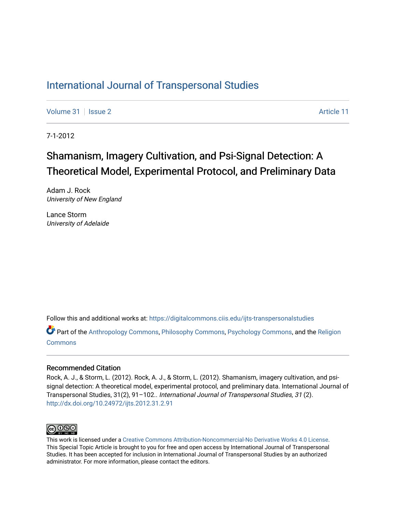# [International Journal of Transpersonal Studies](https://digitalcommons.ciis.edu/ijts-transpersonalstudies)

[Volume 31](https://digitalcommons.ciis.edu/ijts-transpersonalstudies/vol31) | [Issue 2](https://digitalcommons.ciis.edu/ijts-transpersonalstudies/vol31/iss2) Article 11

7-1-2012

# Shamanism, Imagery Cultivation, and Psi-Signal Detection: A Theoretical Model, Experimental Protocol, and Preliminary Data

Adam J. Rock University of New England

Lance Storm University of Adelaide

Follow this and additional works at: [https://digitalcommons.ciis.edu/ijts-transpersonalstudies](https://digitalcommons.ciis.edu/ijts-transpersonalstudies?utm_source=digitalcommons.ciis.edu%2Fijts-transpersonalstudies%2Fvol31%2Fiss2%2F11&utm_medium=PDF&utm_campaign=PDFCoverPages) 

Part of the [Anthropology Commons](http://network.bepress.com/hgg/discipline/318?utm_source=digitalcommons.ciis.edu%2Fijts-transpersonalstudies%2Fvol31%2Fiss2%2F11&utm_medium=PDF&utm_campaign=PDFCoverPages), [Philosophy Commons,](http://network.bepress.com/hgg/discipline/525?utm_source=digitalcommons.ciis.edu%2Fijts-transpersonalstudies%2Fvol31%2Fiss2%2F11&utm_medium=PDF&utm_campaign=PDFCoverPages) [Psychology Commons,](http://network.bepress.com/hgg/discipline/404?utm_source=digitalcommons.ciis.edu%2Fijts-transpersonalstudies%2Fvol31%2Fiss2%2F11&utm_medium=PDF&utm_campaign=PDFCoverPages) and the [Religion](http://network.bepress.com/hgg/discipline/538?utm_source=digitalcommons.ciis.edu%2Fijts-transpersonalstudies%2Fvol31%2Fiss2%2F11&utm_medium=PDF&utm_campaign=PDFCoverPages) **[Commons](http://network.bepress.com/hgg/discipline/538?utm_source=digitalcommons.ciis.edu%2Fijts-transpersonalstudies%2Fvol31%2Fiss2%2F11&utm_medium=PDF&utm_campaign=PDFCoverPages)** 

## Recommended Citation

Rock, A. J., & Storm, L. (2012). Rock, A. J., & Storm, L. (2012). Shamanism, imagery cultivation, and psisignal detection: A theoretical model, experimental protocol, and preliminary data. International Journal of Transpersonal Studies, 31(2), 91–102.. International Journal of Transpersonal Studies, 31 (2). <http://dx.doi.org/10.24972/ijts.2012.31.2.91>



This work is licensed under a [Creative Commons Attribution-Noncommercial-No Derivative Works 4.0 License.](https://creativecommons.org/licenses/by-nc-nd/4.0/) This Special Topic Article is brought to you for free and open access by International Journal of Transpersonal Studies. It has been accepted for inclusion in International Journal of Transpersonal Studies by an authorized administrator. For more information, please contact the editors.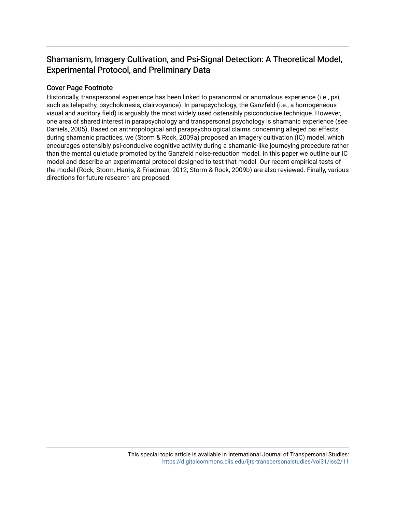# Shamanism, Imagery Cultivation, and Psi-Signal Detection: A Theoretical Model, Experimental Protocol, and Preliminary Data

# Cover Page Footnote

Historically, transpersonal experience has been linked to paranormal or anomalous experience (i.e., psi, such as telepathy, psychokinesis, clairvoyance). In parapsychology, the Ganzfeld (i.e., a homogeneous visual and auditory field) is arguably the most widely used ostensibly psiconducive technique. However, one area of shared interest in parapsychology and transpersonal psychology is shamanic experience (see Daniels, 2005). Based on anthropological and parapsychological claims concerning alleged psi effects during shamanic practices, we (Storm & Rock, 2009a) proposed an imagery cultivation (IC) model, which encourages ostensibly psi-conducive cognitive activity during a shamanic-like journeying procedure rather than the mental quietude promoted by the Ganzfeld noise-reduction model. In this paper we outline our IC model and describe an experimental protocol designed to test that model. Our recent empirical tests of the model (Rock, Storm, Harris, & Friedman, 2012; Storm & Rock, 2009b) are also reviewed. Finally, various directions for future research are proposed.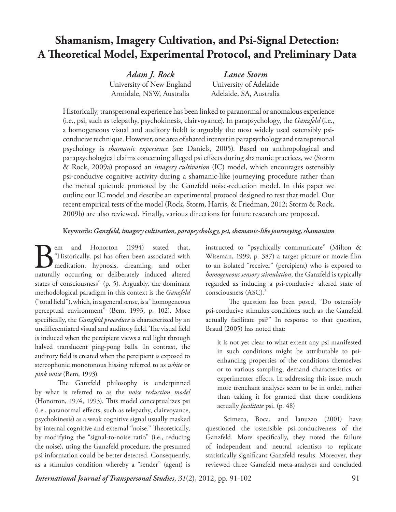# **Shamanism, Imagery Cultivation, and Psi-Signal Detection: A Theoretical Model, Experimental Protocol, and Preliminary Data**

*Adam J. Rock* University of New England Armidale, NSW, Australia

*Lance Storm* University of Adelaide Adelaide, SA, Australia

Historically, transpersonal experience has been linked to paranormal or anomalous experience (i.e., psi, such as telepathy, psychokinesis, clairvoyance). In parapsychology, the *Ganzfeld* (i.e., a homogeneous visual and auditory field) is arguably the most widely used ostensibly psiconducive technique. However, one area of shared interest in parapsychology and transpersonal psychology is *shamanic experience* (see Daniels, 2005). Based on anthropological and parapsychological claims concerning alleged psi effects during shamanic practices, we (Storm & Rock, 2009a) proposed an *imagery cultivation* (IC) model, which encourages ostensibly psi-conducive cognitive activity during a shamanic-like journeying procedure rather than the mental quietude promoted by the Ganzfeld noise-reduction model. In this paper we outline our IC model and describe an experimental protocol designed to test that model. Our recent empirical tests of the model (Rock, Storm, Harris, & Friedman, 2012; Storm & Rock, 2009b) are also reviewed. Finally, various directions for future research are proposed.

# **Keywords:** *Ganzfeld, imagery cultivation, parapsychology, psi, shamanic-like journeying, shamanism*

Bem and Honorton (1994) stated that,<br>"Historically, psi has often been associated with<br>meditation, hypnosis, dreaming, and other<br>naturally occurring or deliberately induced altered "Historically, psi has often been associated with meditation, hypnosis, dreaming, and other naturally occurring or deliberately induced altered states of consciousness" (p. 5). Arguably, the dominant methodological paradigm in this context is the *Ganzfeld* ("total field"), which, in a general sense, is a "homogeneous perceptual environment" (Bem, 1993, p. 102). More specifically, the *Ganzfeld procedure* is characterized by an undifferentiated visual and auditory field. The visual field is induced when the percipient views a red light through halved translucent ping-pong balls. In contrast, the auditory field is created when the percipient is exposed to stereophonic monotonous hissing referred to as *white* or *pink noise* (Bem, 1993).

The Ganzfeld philosophy is underpinned by what is referred to as the *noise reduction model*  (Honorton, 1974, 1993). This model conceptualizes psi (i.e., paranormal effects, such as telepathy, clairvoyance, psychokinesis) as a weak cognitive signal usually masked by internal cognitive and external "noise." Theoretically, by modifying the "signal-to-noise ratio" (i.e., reducing the noise), using the Ganzfeld procedure, the presumed psi information could be better detected. Consequently, as a stimulus condition whereby a "sender" (agent) is

instructed to "psychically communicate" (Milton & Wiseman, 1999, p. 387) a target picture or movie-film to an isolated "receiver" (percipient) who is exposed to *homogeneous sensory stimulation*, the Ganzfeld is typically regarded as inducing a psi-conducive<sup>1</sup> altered state of consciousness (ASC).2

The question has been posed, "Do ostensibly psi-conducive stimulus conditions such as the Ganzfeld actually facilitate psi?" In response to that question, Braud (2005) has noted that:

it is not yet clear to what extent any psi manifested in such conditions might be attributable to psienhancing properties of the conditions themselves or to various sampling, demand characteristics, or experimenter effects. In addressing this issue, much more trenchant analyses seem to be in order, rather than taking it for granted that these conditions actually *facilitate* psi. (p. 48)

Scimeca, Boca, and Ianuzzo (2001) have questioned the ostensible psi-conduciveness of the Ganzfeld. More specifically, they noted the failure of independent and neutral scientists to replicate statistically significant Ganzfeld results. Moreover, they reviewed three Ganzfeld meta-analyses and concluded

**Shamanism, Imagery Cultivation, and Psi-Signal** *International Journal of Transpersonal Studies* 91 *International Journal of Transpersonal Studies*, *31*(2), 2012, pp. 91-102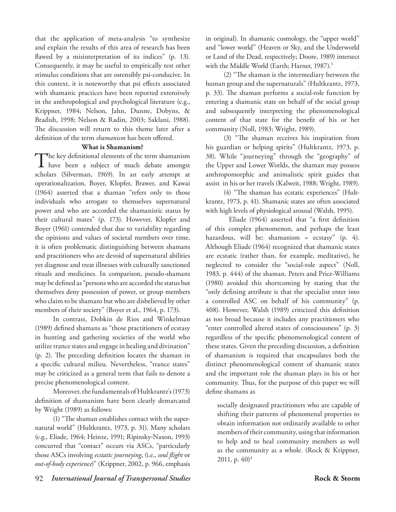that the application of meta-analysis "to synthesize and explain the results of this area of research has been flawed by a misinterpretation of its indices" (p. 13). Consequently, it may be useful to empirically test other stimulus conditions that are ostensibly psi-conducive. In this context, it is noteworthy that psi effects associated with shamanic practices have been reported extensively in the anthropological and psychological literature (e.g., Krippner, 1984; Nelson, Jahn, Dunne, Dobyns, & Bradish, 1998; Nelson & Radin, 2003; Saklani, 1988). The discussion will return to this theme later after a definition of the term *shamanism* has been offered.

### **What is Shamanism?**

The key definitional elements of the term shamanism<br>have been a subject of much debate amongst scholars (Silverman, 1969). In an early attempt at operationalization, Boyer, Klopfer, Brawer, and Kawai (1964) asserted that a shaman "refers only to those individuals who arrogate to themselves supernatural power and who are accorded the shamanistic status by their cultural mates" (p. 173). However, Klopfer and Boyer (1961) contended that due to variability regarding the opinions and values of societal members over time, it is often problematic distinguishing between shamans and practitioners who are devoid of supernatural abilities yet diagnose and treat illnesses with culturally sanctioned rituals and medicines. In comparison, pseudo-shamans may be defined as "persons who are accorded the status but themselves deny possession of power, or group members who claim to be shamans but who are disbelieved by other members of their society" (Boyer et al., 1964, p. 173).

In contrast, Dobkin de Rios and Winkelman (1989) defined shamans as "those practitioners of ecstasy in hunting and gathering societies of the world who utilize trance states and engage in healing and divination" (p. 2). The preceding definition locates the shaman in a specific cultural milieu. Nevertheless, "trance states" may be criticized as a general term that fails to denote a precise phenomenological content.

Moreover, the fundamentals of Hultkrantz's (1973) definition of shamanism have been clearly demarcated by Wright (1989) as follows:

(1) "The shaman establishes contact with the supernatural world" (Hultkrantz, 1973, p. 31). Many scholars (e.g., Eliade, 1964; Heinze, 1991; Ripinsky-Naxon, 1993) concurred that "contact" occurs via ASCs, "particularly those ASCs involving *ecstatic journeying*, (i.e., *soul flight* or *out-of-body experience*)" (Krippner, 2002, p. 966, emphasis

in original). In shamanic cosmology, the "upper world" and "lower world" (Heaven or Sky, and the Underworld or Land of the Dead, respectively; Doore, 1989) intersect with the Middle World (Earth; Harner, 1987).<sup>3</sup>

(2) "The shaman is the intermediary between the human group and the supernaturals" (Hultkrantz, 1973, p. 33). The shaman performs a social-role function by entering a shamanic state on behalf of the social group and subsequently interpreting the phenomenological content of that state for the benefit of his or her community (Noll, 1983; Wright, 1989).

(3) "The shaman receives his inspiration from his guardian or helping spirits" (Hultkrantz, 1973, p. 38). While "journeying" through the "geography" of the Upper and Lower Worlds, the shaman may possess anthropomorphic and animalistic spirit guides that assist in his or her travels (Kalweit, 1988; Wright, 1989).

(4) "The shaman has ecstatic experiences" (Hultkrantz, 1973, p. 41). Shamanic states are often associated with high levels of physiological arousal (Walsh, 1995).

Eliade (1964) asserted that "a first definition of this complex phenomenon, and perhaps the least hazardous, will be: shamanism = ecstasy" (p. 4). Although Eliade (1964) recognized that shamanic states are ecstatic (rather than, for example, meditative), he neglected to consider the "social-role aspect" (Noll, 1983, p. 444) of the shaman. Peters and Price-Williams (1980) avoided this shortcoming by stating that the "only defining attribute is that the specialist enter into a controlled ASC on behalf of his community" (p. 408). However, Walsh (1989) criticized this definition as too broad because it includes any practitioners who "enter controlled altered states of consciousness" (p. 3) regardless of the specific phenomenological content of these states. Given the preceding discussion, a definition of shamanism is required that encapsulates both the distinct phenomenological content of shamanic states and the important role the shaman plays in his or her community. Thus, for the purpose of this paper we will define shamans as

socially designated practitioners who are capable of shifting their patterns of phenomenal properties to obtain information not ordinarily available to other members of their community, using that information to help and to heal community members as well as the community as a whole. (Rock & Krippner, 2011, p.  $40)^4$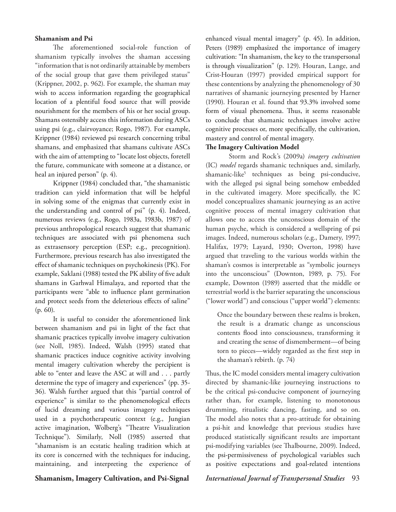### **Shamanism and Psi**

The aforementioned social-role function of shamanism typically involves the shaman accessing "information that is not ordinarily attainable by members of the social group that gave them privileged status" (Krippner, 2002, p. 962). For example, the shaman may wish to access information regarding the geographical location of a plentiful food source that will provide nourishment for the members of his or her social group. Shamans ostensibly access this information during ASCs using psi (e.g., clairvoyance; Rogo, 1987). For example, Krippner (1984) reviewed psi research concerning tribal shamans, and emphasized that shamans cultivate ASCs with the aim of attempting to "locate lost objects, foretell the future, communicate with someone at a distance, or heal an injured person" (p. 4).

Krippner (1984) concluded that, "the shamanistic tradition can yield information that will be helpful in solving some of the enigmas that currently exist in the understanding and control of psi" (p. 4). Indeed, numerous reviews (e.g., Rogo, 1983a, 1983b, 1987) of previous anthropological research suggest that shamanic techniques are associated with psi phenomena such as extrasensory perception (ESP; e.g., precognition). Furthermore, previous research has also investigated the effect of shamanic techniques on psychokinesis (PK). For example, Saklani (1988) tested the PK ability of five adult shamans in Garhwal Himalaya, and reported that the participants were "able to influence plant germination and protect seeds from the deleterious effects of saline" (p. 60).

It is useful to consider the aforementioned link between shamanism and psi in light of the fact that shamanic practices typically involve imagery cultivation (see Noll, 1985). Indeed, Walsh (1995) stated that shamanic practices induce cognitive activity involving mental imagery cultivation whereby the percipient is able to "enter and leave the ASC at will and . . . partly determine the type of imagery and experiences" (pp. 35- 36). Walsh further argued that this "partial control of experience" is similar to the phenomenological effects of lucid dreaming and various imagery techniques used in a psychotherapeutic context (e.g., Jungian active imagination, Wolberg's "Theatre Visualization Technique"). Similarly, Noll (1985) asserted that "shamanism is an ecstatic healing tradition which at its core is concerned with the techniques for inducing, maintaining, and interpreting the experience of enhanced visual mental imagery" (p. 45). In addition, Peters (1989) emphasized the importance of imagery cultivation: "In shamanism, the key to the transpersonal is through visualization" (p. 129). Houran, Lange, and Crist-Houran (1997) provided empirical support for these contentions by analyzing the phenomenology of 30 narratives of shamanic journeying presented by Harner (1990). Houran et al. found that 93.3% involved some form of visual phenomena. Thus, it seems reasonable to conclude that shamanic techniques involve active cognitive processes or, more specifically, the cultivation, mastery and control of mental imagery.

### **The Imagery Cultivation Model**

Storm and Rock's (2009a) *imagery cultivation*  (IC) *model* regards shamanic techniques and, similarly, shamanic-like<sup>5</sup> techniques as being psi-conducive, with the alleged psi signal being somehow embedded in the cultivated imagery. More specifically, the IC model conceptualizes shamanic journeying as an active cognitive process of mental imagery cultivation that allows one to access the unconscious domain of the human psyche, which is considered a wellspring of psi images. Indeed, numerous scholars (e.g., Damery, 1997; Halifax, 1979; Layard, 1930; Overton, 1998) have argued that traveling to the various worlds within the shaman's cosmos is interpretable as "symbolic journeys into the unconscious" (Downton, 1989, p. 75). For example, Downton (1989) asserted that the middle or terrestrial world is the barrier separating the unconscious ("lower world") and conscious ("upper world") elements:

Once the boundary between these realms is broken, the result is a dramatic change as unconscious contents flood into consciousness, transforming it and creating the sense of dismemberment—of being torn to pieces—widely regarded as the first step in the shaman's rebirth. (p. 74)

Thus, the IC model considers mental imagery cultivation directed by shamanic-like journeying instructions to be the critical psi-conducive component of journeying rather than, for example, listening to monotonous drumming, ritualistic dancing, fasting, and so on. The model also notes that a pro-attitude for obtaining a psi-hit and knowledge that previous studies have produced statistically significant results are important psi-modifying variables (see Thalbourne, 2009). Indeed, the psi-permissiveness of psychological variables such as positive expectations and goal-related intentions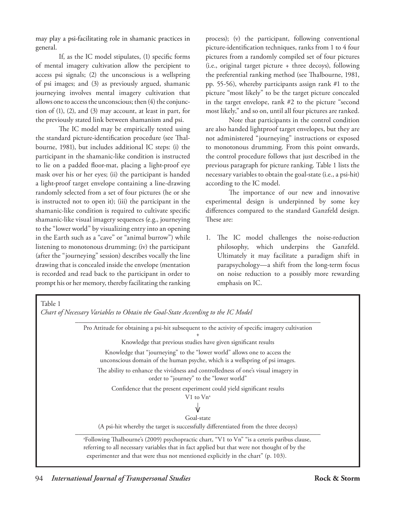may play a psi-facilitating role in shamanic practices in general.

If, as the IC model stipulates, (1) specific forms of mental imagery cultivation allow the percipient to access psi signals; (2) the unconscious is a wellspring of psi images; and (3) as previously argued, shamanic journeying involves mental imagery cultivation that allows one to access the unconscious; then (4) the conjunction of (1), (2), and (3) may account, at least in part, for the previously stated link between shamanism and psi.

The IC model may be empirically tested using the standard picture-identification procedure (see Thalbourne, 1981), but includes additional IC steps: (i) the participant in the shamanic-like condition is instructed to lie on a padded floor-mat, placing a light-proof eye mask over his or her eyes; (ii) the participant is handed a light-proof target envelope containing a line-drawing randomly selected from a set of four pictures (he or she is instructed not to open it); (iii) the participant in the shamanic-like condition is required to cultivate specific shamanic-like visual imagery sequences (e.g., journeying to the "lower world" by visualizing entry into an opening in the Earth such as a "cave" or "animal burrow") while listening to monotonous drumming; (iv) the participant (after the "journeying" session) describes vocally the line drawing that is concealed inside the envelope (mentation is recorded and read back to the participant in order to prompt his or her memory, thereby facilitating the ranking

process); (v) the participant, following conventional picture-identification techniques, ranks from 1 to 4 four pictures from a randomly compiled set of four pictures (i.e., original target picture + three decoys), following the preferential ranking method (see Thalbourne, 1981, pp. 55-56), whereby participants assign rank #1 to the picture "most likely" to be the target picture concealed in the target envelope, rank #2 to the picture "second most likely," and so on, until all four pictures are ranked.

Note that participants in the control condition are also handed lightproof target envelopes, but they are not administered "journeying" instructions or exposed to monotonous drumming. From this point onwards, the control procedure follows that just described in the previous paragraph for picture ranking. Table 1 lists the necessary variables to obtain the goal-state (i.e., a psi-hit) according to the IC model.

The importance of our new and innovative experimental design is underpinned by some key differences compared to the standard Ganzfeld design. These are:

1. The IC model challenges the noise-reduction philosophy, which underpins the Ganzfeld. Ultimately it may facilitate a paradigm shift in parapsychology—a shift from the long-term focus on noise reduction to a possibly more rewarding emphasis on IC.

 Table 1  *Chart of Necessary Variables to Obtain the Goal-State According to the IC Model* \_\_\_\_\_\_\_\_\_\_\_\_\_\_\_\_\_\_\_\_\_\_\_\_\_\_\_\_\_\_\_\_\_\_\_\_\_\_\_\_\_\_\_\_\_\_\_\_\_\_\_\_\_\_\_\_\_\_\_\_\_\_\_\_\_\_\_\_\_ Pro Attitude for obtaining a psi-hit subsequent to the activity of specific imagery cultivation + Knowledge that previous studies have given significant results Knowledge that "journeying" to the "lower world" allows one to access the unconscious domain of the human psyche, which is a wellspring of psi images. The ability to enhance the vividness and controlledness of one's visual imagery in order to "journey" to the "lower world" Confidence that the present experiment could yield significant results V<sub>1</sub> to Vn<sup>a</sup> **V** Goal-state (A psi-hit whereby the target is successfully differentiated from the three decoys) a Following Thalbourne's (2009) psychopractic chart, "V1 to Vn" "is a ceteris paribus clause, referring to all necessary variables that in fact applied but that were not thought of by the experimenter and that were thus not mentioned explicitly in the chart" (p. 103).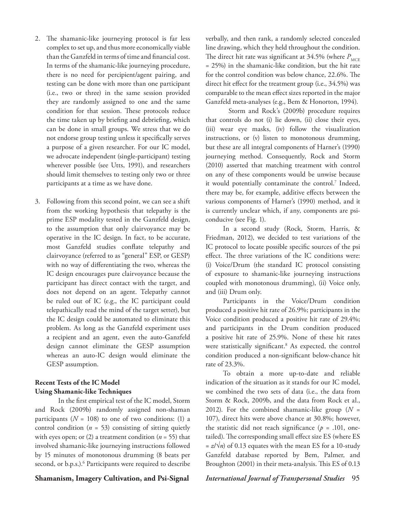- 2. The shamanic-like journeying protocol is far less complex to set up, and thus more economically viable than the Ganzfeld in terms of time and financial cost. In terms of the shamanic-like journeying procedure, there is no need for percipient/agent pairing, and testing can be done with more than one participant (i.e., two or three) in the same session provided they are randomly assigned to one and the same condition for that session. These protocols reduce the time taken up by briefing and debriefing, which can be done in small groups. We stress that we do not endorse group testing unless it specifically serves a purpose of a given researcher. For our IC model, we advocate independent (single-participant) testing wherever possible (see Utts, 1991), and researchers should limit themselves to testing only two or three participants at a time as we have done.
- 3. Following from this second point, we can see a shift from the working hypothesis that telepathy is the prime ESP modality tested in the Ganzfeld design, to the assumption that only clairvoyance may be operative in the IC design. In fact, to be accurate, most Ganzfeld studies conflate telepathy and clairvoyance (referred to as "general" ESP, or GESP) with no way of differentiating the two, whereas the IC design encourages pure clairvoyance because the participant has direct contact with the target, and does not depend on an agent. Telepathy cannot be ruled out of IC (e.g., the IC participant could telepathically read the mind of the target setter), but the IC design could be automated to eliminate this problem. As long as the Ganzfeld experiment uses a recipient and an agent, even the auto-Ganzfeld design cannot eliminate the GESP assumption whereas an auto-IC design would eliminate the GESP assumption.

# **Recent Tests of the IC Model Using Shamanic-like Techniques**

In the first empirical test of the IC model, Storm and Rock (2009b) randomly assigned non-shaman participants  $(N = 108)$  to one of two conditions: (1) a control condition  $(n = 53)$  consisting of sitting quietly with eyes open; or (2) a treatment condition (*n* = 55) that involved shamanic-like journeying instructions followed by 15 minutes of monotonous drumming (8 beats per second, or b.p.s.).<sup>6</sup> Participants were required to describe

verbally, and then rank, a randomly selected concealed line drawing, which they held throughout the condition. The direct hit rate was significant at  $34.5\%$  (where  $P_{\text{MCF}}$ = 25%) in the shamanic-like condition, but the hit rate for the control condition was below chance, 22.6%. The direct hit effect for the treatment group (i.e., 34.5%) was comparable to the mean effect sizes reported in the major Ganzfeld meta-analyses (e.g., Bem & Honorton, 1994).

Storm and Rock's (2009b) procedure requires that controls do not (i) lie down, (ii) close their eyes, (iii) wear eye masks, (iv) follow the visualization instructions, or (v) listen to monotonous drumming, but these are all integral components of Harner's (1990) journeying method. Consequently, Rock and Storm (2010) asserted that matching treatment with control on any of these components would be unwise because it would potentially contaminate the control.7 Indeed, there may be, for example, additive effects between the various components of Harner's (1990) method, and it is currently unclear which, if any, components are psiconducive (see Fig. 1).

In a second study (Rock, Storm, Harris, & Friedman, 2012), we decided to test variations of the IC protocol to locate possible specific sources of the psi effect. The three variations of the IC conditions were: (i) Voice/Drum (the standard IC protocol consisting of exposure to shamanic-like journeying instructions coupled with monotonous drumming), (ii) Voice only, and (iii) Drum only.

Participants in the Voice/Drum condition produced a positive hit rate of 26.9%; participants in the Voice condition produced a positive hit rate of 29.4%; and participants in the Drum condition produced a positive hit rate of 25.9%. None of these hit rates were statistically significant.8 As expected, the control condition produced a non-significant below-chance hit rate of 23.3%.

To obtain a more up-to-date and reliable indication of the situation as it stands for our IC model, we combined the two sets of data (i.e., the data from Storm & Rock, 2009b, and the data from Rock et al., 2012). For the combined shamanic-like group (*N* = 107), direct hits were above chance at 30.8%; however, the statistic did not reach significance ( $p = .101$ , onetailed). The corresponding small effect size ES (where ES  $= z/\sqrt{n}$  of 0.13 equates with the mean ES for a 10-study Ganzfeld database reported by Bem, Palmer, and Broughton (2001) in their meta-analysis. This ES of 0.13

### **Shamanism, Imagery Cultivation, and Psi-Signal** *International Journal of Transpersonal Studies* 95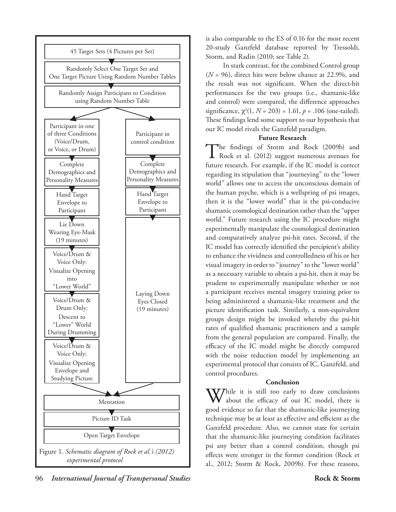

is also comparable to the ES of 0.16 for the most recent 20-study Ganzfeld database reported by Tressoldi, Storm, and Radin (2010; see Table 2).

In stark contrast, for the combined Control group (*N* = 96), direct hits were below chance at 22.9%, and the result was not significant. When the direct-hit performances for the two groups (i.e., shamanic-like and control) were compared, the difference approaches significance,  $\chi^2(1, N = 203) = 1.61, p = .106$  (one-tailed). These findings lend some support to our hypothesis that our IC model rivals the Ganzfeld paradigm.

# **Future Research**

The findings of Storm and Rock (2009b) and<br>
Rock et al. (2012) suggest numerous avenues for future research. For example, if the IC model is correct regarding its stipulation that "journeying" to the "lower world" allows one to access the unconscious domain of the human psyche, which is a wellspring of psi images, then it is the "lower world" that is the psi-conducive shamanic cosmological destination rather than the "upper world." Future research using the IC procedure might experimentally manipulate the cosmological destination and comparatively analyze psi-hit rates. Second, if the IC model has correctly identified the percipient's ability to enhance the vividness and controlledness of his or her visual imagery in order to "journey" to the "lower world" as a necessary variable to obtain a psi-hit, then it may be prudent to experimentally manipulate whether or not a participant receives mental imagery training prior to being administered a shamanic-like treatment and the picture identification task. Similarly, a non-equivalent groups design might be invoked whereby the psi-hit rates of qualified shamanic practitioners and a sample from the general population are compared. Finally, the efficacy of the IC model might be directly compared with the noise reduction model by implementing an experimental protocol that consists of IC, Ganzfeld, and control procedures.

# **Conclusion**

While it is still too early to draw conclusions about the efficacy of our IC model, there is good evidence so far that the shamanic-like journeying technique may be at least as effective and efficient as the Ganzfeld procedure. Also, we cannot state for certain that the shamanic-like journeying condition facilitates psi any better than a control condition, though psi effects were stronger in the former condition (Rock et al., 2012; Storm & Rock, 2009b). For these reasons,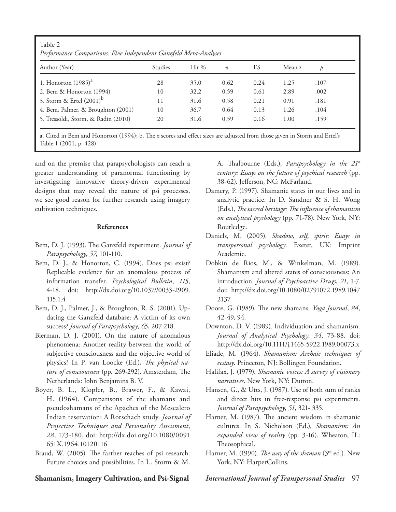| Table 2<br>Performance Comparisons: Five Independent Ganzfeld Meta-Analyses |         |         |      |      |        |               |  |
|-----------------------------------------------------------------------------|---------|---------|------|------|--------|---------------|--|
| Author (Year)                                                               | Studies | $Hit\%$ | π    | ES   | Mean z | $\mathcal{D}$ |  |
| 1. Honorton $(1985)^{a}$                                                    | 28      | 35.0    | 0.62 | 0.24 | 1.25   | .107          |  |
| 2. Bem & Honorton (1994)                                                    | 10      | 32.2    | 0.59 | 0.61 | 2.89   | .002          |  |
| 3. Storm & Ertel $(2001)^b$                                                 | 11      | 31.6    | 0.58 | 0.21 | 0.91   | .181          |  |
| 4. Bem, Palmer, & Broughton (2001)                                          | 10      | 36.7    | 0.64 | 0.13 | 1.26   | .104          |  |
| 5. Tressoldi, Storm, & Radin (2010)                                         | 20      | 31.6    | 0.59 | 0.16 | 1.00   | .159          |  |

a. Cited in Bem and Honorton (1994); b. The *z* scores and effect sizes are adjusted from those given in Storm and Ertel's Table 1 (2001, p. 428).

and on the premise that parapsychologists can reach a greater understanding of paranormal functioning by investigating innovative theory-driven experimental designs that may reveal the nature of psi processes, we see good reason for further research using imagery cultivation techniques.

#### **References**

- Bem, D. J. (1993). The Ganzfeld experiment. *Journal of Parapsychology*, *57*, 101-110.
- Bem, D. J., & Honorton, C. (1994). Does psi exist? Replicable evidence for an anomalous process of information transfer. *Psychological Bulletin*, *115*, 4-18. doi: http://dx.doi.org/10.1037//0033-2909. 115.1.4
- Bem, D. J., Palmer, J., & Broughton, R. S. (2001). Updating the Ganzfeld database: A victim of its own success? *Journal of Parapsychology, 65*, 207-218.
- Bierman, D. J. (2001). On the nature of anomalous phenomena: Another reality between the world of subjective consciousness and the objective world of physics? In P. van Loocke (Ed.), *The physical nature of consciousness* (pp. 269-292). Amsterdam, The Netherlands: John Benjamins B. V.
- Boyer, B. L., Klopfer, B., Brawer, F., & Kawai, H. (1964). Comparisons of the shamans and pseudoshamans of the Apaches of the Mescalero Indian reservation: A Rorschach study. *Journal of Projective Techniques and Personality Assessment*, *28*, 173-180. doi: http://dx.doi.org/10.1080/0091 651X.1964.10120116
- Braud, W. (2005). The farther reaches of psi research: Future choices and possibilities. In L. Storm & M.

A. Thalbourne (Eds.), *Parapsychology in the 21st century: Essays on the future of psychical research* (pp. 38-62). Jefferson, NC: McFarland.

- Damery, P. (1997). Shamanic states in our lives and in analytic practice. In D. Sandner & S. H. Wong (Eds.), *The sacred heritage: The influence of shamanism on analytical psychology* (pp. 71-78). New York, NY: Routledge.
- Daniels, M. (2005). *Shadow, self, spirit: Essays in transpersonal psychology*. Exeter, UK: Imprint Academic.
- Dobkin de Rios, M., & Winkelman, M. (1989). Shamanism and altered states of consciousness: An introduction. *Journal of Psychoactive Drugs*, *21*, 1-7. doi: http://dx.doi.org/10.1080/02791072.1989.1047 2137
- Doore, G. (1989). The new shamans. *Yoga Journal*, *84*, 42-49, 94.
- Downton, D. V. (1989). Individuation and shamanism. *Journal of Analytical Psychology, 34*, 73-88. doi: http://dx.doi.org/10.1111/j.1465-5922.1989.00073.x
- Eliade, M. (1964). *Shamanism: Archaic techniques of ecstasy*. Princeton, NJ: Bollingen Foundation.
- Halifax, J. (1979). *Shamanic voices: A survey of visionary narratives*. New York, NY: Dutton.
- Hansen, G., & Utts, J. (1987). Use of both sum of ranks and direct hits in free-response psi experiments. *Journal of Parapsychology*, *51*, 321- 335.
- Harner, M. (1987). The ancient wisdom in shamanic cultures. In S. Nicholson (Ed.), *Shamanism: An expanded view of reality* (pp. 3-16). Wheaton, IL: Theosophical.
- Harner, M. (1990). *The way of the shaman* (3rd ed.). New York, NY: HarperCollins.

**Shamanism, Imagery Cultivation, and Psi-Signal** *International Journal of Transpersonal Studies* 97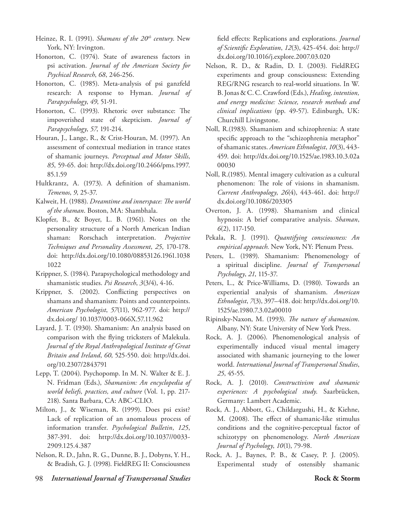- Heinze, R. I. (1991). *Shamans of the 20<sup>th</sup> century*. New York, NY: Irvington.
- Honorton, C. (1974). State of awareness factors in psi activation. *Journal of the American Society for Psychical Research*, *68*, 246-256.
- Honorton, C. (1985). Meta-analysis of psi ganzfeld research: A response to Hyman. *Journal of Parapsychology*, *49*, 51-91.
- Honorton, C. (1993). Rhetoric over substance: The impoverished state of skepticism. *Journal of Parapsychology*, *57*, 191-214.
- Houran, J., Lange, R., & Crist-Houran, M. (1997). An assessment of contextual mediation in trance states of shamanic journeys. *Perceptual and Motor Skills*, *85*, 59-65. doi: http://dx.doi.org/10.2466/pms.1997. 85.1.59
- Hultkrantz, A. (1973). A definition of shamanism. *Temenos*, *9*, 25-37.
- Kalweit, H. (1988). *Dreamtime and innerspace: The world of the shaman*. Boston, MA: Shambhala.
- Klopfer, B., & Boyer, L. B. (1961). Notes on the personality structure of a North American Indian shaman: Rorschach interpretation. *Projective Techniques and Personality Assessment*, *25*, 170-178. doi: http://dx.doi.org/10.1080/08853126.1961.1038 1022
- Krippner, S. (1984). Parapsychological methodology and shamanistic studies. *Psi Research*, *3*(3/4), 4-16.
- Krippner, S. (2002). Conflicting perspectives on shamans and shamanism: Points and counterpoints. *American Psychologist*, *57*(11), 962-977. doi: http:// dx.doi.org/ 10.1037/0003-066X.57.11.962
- Layard, J. T. (1930). Shamanism: An analysis based on comparison with the flying tricksters of Malekula. *Journal of the Royal Anthropological Institute of Great Britain and Ireland*, *60*, 525-550. doi: http://dx.doi. org/10.2307/2843791
- Lepp, T. (2004). Psychopomp. In M. N. Walter & E. J. N. Fridman (Eds.), *Shamanism: An encyclopedia of world beliefs, practices, and culture* (Vol. 1, pp. 217- 218). Santa Barbara, CA: ABC-CLIO.
- Milton, J., & Wiseman, R. (1999). Does psi exist? Lack of replication of an anomalous process of information transfer. *Psychological Bulletin*, *125*, 387-391. doi: http://dx.doi.org/10.1037//0033- 2909.125.4.387
- Nelson, R. D., Jahn, R. G., Dunne, B. J., Dobyns, Y. H., & Bradish, G. J. (1998). FieldREG II: Consciousness

field effects: Replications and explorations. *Journal of Scientific Exploration*, *12*(3), 425-454. doi: http:// dx.doi.org/10.1016/j.explore.2007.03.020

- Nelson, R. D., & Radin, D. I. (2003). FieldREG experiments and group consciousness: Extending REG/RNG research to real-world situations. In W. B. Jonas & C. C. Crawford (Eds.), *Healing, intention, and energy medicine: Science, research methods and clinical implications* (pp. 49-57). Edinburgh, UK: Churchill Livingstone.
- Noll, R.(1983). Shamanism and schizophrenia: A state specific approach to the "schizophrenia metaphor" of shamanic states. *American Ethnologist*, *10*(3), 443- 459. doi: http://dx.doi.org/10.1525/ae.1983.10.3.02a 00030
- Noll, R.(1985). Mental imagery cultivation as a cultural phenomenon: The role of visions in shamanism. *Current Anthropology*, *26*(4), 443-461. doi: http:// dx.doi.org/10.1086/203305
- Overton, J. A. (1998). Shamanism and clinical hypnosis: A brief comparative analysis. *Shaman*, *6*(2), 117-150.
- Pekala, R. J. (1991). *Quantifying consciousness: An empirical approach*. New York, NY: Plenum Press.
- Peters, L. (1989). Shamanism: Phenomenology of a spiritual discipline. *Journal of Transpersonal Psychology*, *21*, 115-37.
- Peters, L., & Price-Williams, D. (1980). Towards an experiential analysis of shamanism. *American Ethnologist*, *7*(3), 397–418. doi: http://dx.doi.org/10. 1525/ae.1980.7.3.02a00010
- Ripinsky-Naxon, M. (1993). *The nature of shamanism*. Albany, NY: State University of New York Press.
- Rock, A. J. (2006). Phenomenological analysis of experimentally induced visual mental imagery associated with shamanic journeying to the lower world. *International Journal of Transpersonal Studies*, *25*, 45-55.
- Rock, A. J. (2010). *Constructivism and shamanic experiences: A psychological study*. Saarbrücken, Germany: Lambert Academic.
- Rock, A. J., Abbott, G., Childargushi, H., & Kiehne, M. (2008). The effect of shamanic-like stimulus conditions and the cognitive-perceptual factor of schizotypy on phenomenology. *North American Journal of Psychology*, *10*(1), 79-98.
- Rock, A. J., Baynes, P. B., & Casey, P. J. (2005). Experimental study of ostensibly shamanic
- 98 *International Journal of Transpersonal Studies* **Rock & Storm**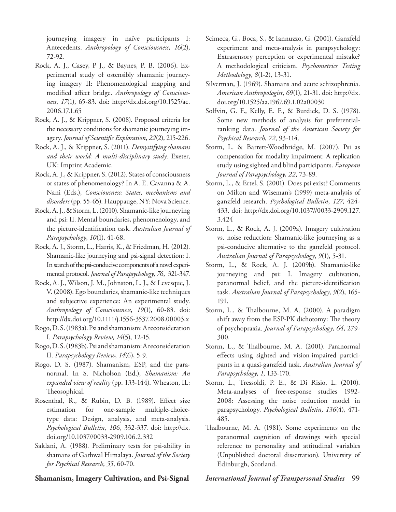journeying imagery in naïve participants I: Antecedents. *Anthropology of Consciousness*, *16*(2), 72-92.

- Rock, A. J., Casey, P J., & Baynes, P. B. (2006). Experimental study of ostensibly shamanic journeying imagery II: Phenomenological mapping and modified affect bridge. *Anthropology of Consciousness*, *17*(1), 65-83. doi: http://dx.doi.org/10.1525/ac. 2006.17.1.65
- Rock, A. J., & Krippner, S. (2008). Proposed criteria for the necessary conditions for shamanic journeying imagery. *Journal of Scientific Exploration*, *22*(2), 215-226.
- Rock, A. J., & Krippner, S. (2011). *Demystifying shamans and their world: A multi-disciplinary study*. Exeter, UK: Imprint Academic.
- Rock, A. J., & Krippner, S. (2012). States of consciousness or states of phenomenology? In A. E. Cavanna & A. Nani (Eds.), *Consciousness: States, mechanisms and disorders* (pp. 55-65). Hauppauge, NY: Nova Science.
- Rock, A. J., & Storm, L. (2010). Shamanic-like journeying and psi: II. Mental boundaries, phenomenology, and the picture-identification task. *Australian Journal of Parapsychology*, *10*(1), 41-68.
- Rock, A. J., Storm, L., Harris, K., & Friedman, H. (2012). Shamanic-like journeying and psi-signal detection: I. In search of the psi-conducive components of a novel experimental protocol. *Journal of Parapsychology*, *76*, 321-347.
- Rock, A. J., Wilson, J. M., Johnston, L. J., & Levesque, J. V. (2008). Ego boundaries, shamanic-like techniques and subjective experience: An experimental study. *Anthropology of Consciousness*, *19*(1), 60-83. doi: http://dx.doi.org/10.1111/j.1556-3537.2008.00003.x
- Rogo, D. S. (1983a). Psi and shamanism: A reconsideration I. *Parapsychology Review*, *14*(5), 12-15.
- Rogo, D. S. (1983b). Psi and shamanism: A reconsideration II. *Parapsychology Review*, *14*(6), 5-9.
- Rogo, D. S. (1987). Shamanism, ESP, and the paranormal. In S. Nicholson (Ed.), *Shamanism: An expanded view of reality* (pp. 133-144). Wheaton, IL: Theosophical.
- Rosenthal, R., & Rubin, D. B. (1989). Effect size estimation for one-sample multiple-choicetype data: Design, analysis, and meta-analysis. *Psychological Bulletin*, *106*, 332-337. doi: http://dx. doi.org/10.1037//0033-2909.106.2.332
- Saklani, A. (1988). Preliminary tests for psi-ability in shamans of Garhwal Himalaya. *Journal of the Society for Psychical Research*, *55*, 60-70.

- Scimeca, G., Boca, S., & Iannuzzo, G. (2001). Ganzfeld experiment and meta-analysis in parapsychology: Extrasensory perception or experimental mistake? A methodological criticism. *Psychometrics Testing Methodology*, *8*(1-2), 13-31.
- Silverman, J. (1969). Shamans and acute schizophrenia. *American Anthropologist*, *69*(1), 21-31. doi: http://dx. doi.org/10.1525/aa.1967.69.1.02a00030
- Solfvin, G. F., Kelly, E. F., & Burdick, D. S. (1978). Some new methods of analysis for preferentialranking data. *Journal of the American Society for Psychical Research*, *72*, 93-114.
- Storm, L. & Barrett-Woodbridge, M. (2007). Psi as compensation for modality impairment: A replication study using sighted and blind participants. *European Journal of Parapsychology*, *22*, 73-89.
- Storm, L., & Ertel, S. (2001). Does psi exist? Comments on Milton and Wiseman's (1999) meta-analysis of ganzfeld research. *Psychological Bulletin*, *127*, 424- 433. doi: http://dx.doi.org/10.1037//0033-2909.127. 3.424
- Storm, L., & Rock, A. J. (2009a). Imagery cultivation vs. noise reduction: Shamanic-like journeying as a psi-conducive alternative to the ganzfeld protocol. *Australian Journal of Parapsychology*, *9*(1), 5-31.
- Storm, L., & Rock, A. J. (2009b). Shamanic-like journeying and psi: I. Imagery cultivation, paranormal belief, and the picture-identification task. *Australian Journal of Parapsychology*, *9*(2), 165- 191.
- Storm, L., & Thalbourne, M. A. (2000). A paradigm shift away from the ESP-PK dichotomy: The theory of psychopraxia. *Journal of Parapsychology*, *64*, 279- 300.
- Storm, L., & Thalbourne, M. A. (2001). Paranormal effects using sighted and vision-impaired participants in a quasi-ganzfeld task. *Australian Journal of Parapsychology*, *1*, 133-170.
- Storm, L., Tressoldi, P. E., & Di Risio, L. (2010). Meta-analyses of free-response studies 1992- 2008: Assessing the noise reduction model in parapsychology. *Psychological Bulletin*, *136*(4), 471- 485.
- Thalbourne, M. A. (1981). Some experiments on the paranormal cognition of drawings with special reference to personality and attitudinal variables (Unpublished doctoral dissertation). University of Edinburgh, Scotland.

# **Shamanism, Imagery Cultivation, and Psi-Signal** *International Journal of Transpersonal Studies* 99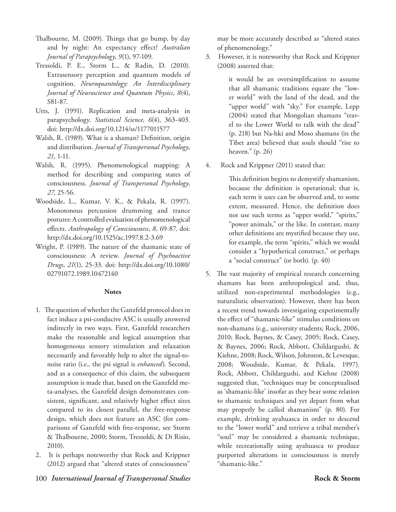- Thalbourne, M. (2009). Things that go bump, by day and by night: An expectancy effect? *Australian Journal of Parapsychology*, *9*(1), 97-109.
- Tressoldi, P. E., Storm L., & Radin, D. (2010). Extrasensory perception and quantum models of cognition. *Neuroquantology: An Interdisciplinary Journal of Neuroscience and Quantum Physics*, *8*(4), S81-87.
- Utts, J. (1991). Replication and meta-analysis in parapsychology. *Statistical Science*, *6*(4), 363-403. doi: http://dx.doi.org/10.1214/ss/1177011577
- Walsh, R. (1989). What is a shaman? Definition, origin and distribution. *Journal of Transpersonal Psychology*, *21*, 1-11.
- Walsh, R. (1995). Phenomenological mapping: A method for describing and comparing states of consciousness. *Journal of Transpersonal Psychology*, *27*, 25-56.
- Woodside, L., Kumar, V. K., & Pekala, R. (1997). Monotonous percussion drumming and trance postures: A controlled evaluation of phenomenological effects. *Anthropology of Consciousness*, *8*, 69-87. doi: http://dx.doi.org/10.1525/ac.1997.8.2-3.69
- Wright, P. (1989). The nature of the shamanic state of consciousness: A review. *Journal of Psychoactive Drugs*, *21*(1), 25-33. doi: http://dx.doi.org/10.1080/ 02791072.1989.10472140

# **Notes**

- 1. The question of whether the Ganzfeld protocol does in fact induce a psi-conducive ASC is usually answered indirectly in two ways. First, Ganzfeld researchers make the reasonable and logical assumption that homogeneous sensory stimulation and relaxation necessarily and favorably help to alter the signal-tonoise ratio (i.e., the psi signal is *enhanced*). Second, and as a consequence of this claim, the subsequent assumption is made that, based on the Ganzfeld meta-analyses, the Ganzfeld design demonstrates consistent, significant, and relatively higher effect sizes compared to its closest parallel, the free-response design, which does not feature an ASC (for comparisons of Ganzfeld with free-response, see Storm & Thalbourne, 2000; Storm, Tressoldi, & Di Risio, 2010).
- 2. It is perhaps noteworthy that Rock and Krippner (2012) argued that "altered states of consciousness"

may be more accurately described as "altered states of phenomenology."

3. However, it is noteworthy that Rock and Krippner (2008) asserted that:

> it would be an oversimplification to assume that all shamanic traditions equate the "lower world" with the land of the dead, and the "upper world" with "sky." For example, Lepp (2004) stated that Mongolian shamans "travel to the Lower World to talk with the dead" (p. 218) but Na-hki and Moso shamans (in the Tibet area) believed that souls should "rise to heaven." (p. 26)

4. Rock and Krippner (2011) stated that:

This definition begins to demystify shamanism, because the definition is operational; that is, each term it uses can be observed and, to some extent, measured. Hence, the definition does not use such terms as "upper world," "spirits," "power animals," or the like. In contrast, many other definitions are mystified because they use, for example, the term "spirits," which we would consider a "hypothetical construct," or perhaps a "social construct" (or both). (p. 40)

5. The vast majority of empirical research concerning shamans has been anthropological and, thus, utilized non-experimental methodologies (e.g., naturalistic observation). However, there has been a recent trend towards investigating experimentally the effect of "shamanic-like" stimulus conditions on non-shamans (e.g., university students; Rock, 2006, 2010; Rock, Baynes, & Casey, 2005; Rock, Casey, & Baynes, 2006; Rock, Abbott, Childargushi, & Kiehne, 2008; Rock, Wilson, Johnston, & Levesque, 2008; Woodside, Kumar, & Pekala, 1997). Rock, Abbott, Childargushi, and Kiehne (2008) suggested that, "techniques may be conceptualised as 'shamanic-like' insofar as they bear some relation to shamanic techniques and yet depart from what may properly be called shamanism" (p. 80). For example, drinking ayahuasca in order to descend to the "lower world" and retrieve a tribal member's "soul" may be considered a shamanic technique, while recreationally using ayahuasca to produce purported alterations in consciousness is merely "shamanic-like."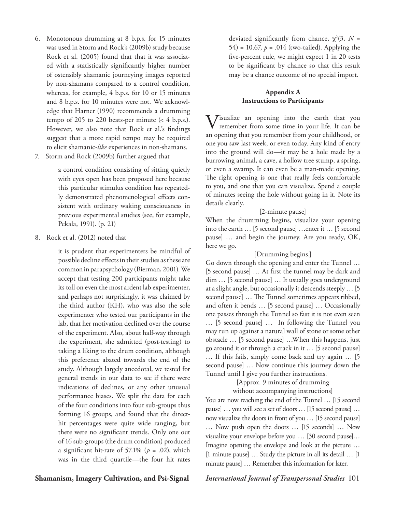- 6. Monotonous drumming at 8 b.p.s. for 15 minutes was used in Storm and Rock's (2009b) study because Rock et al. (2005) found that that it was associated with a statistically significantly higher number of ostensibly shamanic journeying images reported by non-shamans compared to a control condition, whereas, for example, 4 b.p.s. for 10 or 15 minutes and 8 b.p.s. for 10 minutes were not. We acknowledge that Harner (1990) recommends a drumming tempo of 205 to 220 beats-per minute  $\left($  < 4 b.p.s.). However, we also note that Rock et al.'s findings suggest that a more rapid tempo may be required to elicit shamanic-*like* experiences in non-shamans.
- 7. Storm and Rock (2009b) further argued that

a control condition consisting of sitting quietly with eyes open has been proposed here because this particular stimulus condition has repeatedly demonstrated phenomenological effects consistent with ordinary waking consciousness in previous experimental studies (see, for example, Pekala, 1991). (p. 21)

8. Rock et al. (2012) noted that

it is prudent that experimenters be mindful of possible decline effects in their studies as these are common in parapsychology (Bierman, 2001). We accept that testing 200 participants might take its toll on even the most ardent lab experimenter, and perhaps not surprisingly, it was claimed by the third author (KH), who was also the sole experimenter who tested our participants in the lab, that her motivation declined over the course of the experiment. Also, about half-way through the experiment, she admitted (post-testing) to taking a liking to the drum condition, although this preference abated towards the end of the study. Although largely anecdotal, we tested for general trends in our data to see if there were indications of declines, or any other unusual performance biases. We split the data for each of the four conditions into four sub-groups thus forming 16 groups, and found that the directhit percentages were quite wide ranging, but there were no significant trends. Only one out of 16 sub-groups (the drum condition) produced a significant hit-rate of 57.1% ( $p = .02$ ), which was in the third quartile—the four hit rates

deviated significantly from chance,  $\chi^2(3, N =$ 54) = 10.67,  $p = .014$  (two-tailed). Applying the five-percent rule, we might expect 1 in 20 tests to be significant by chance so that this result may be a chance outcome of no special import.

# **Appendix A Instructions to Participants**

Visualize an opening into the earth that you remember from some time in your life. It can be an opening that you remember from your childhood, or one you saw last week, or even today. Any kind of entry into the ground will do—it may be a hole made by a burrowing animal, a cave, a hollow tree stump, a spring, or even a swamp. It can even be a man-made opening. The right opening is one that really feels comfortable to you, and one that you can visualize. Spend a couple of minutes seeing the hole without going in it. Note its details clearly.

# [2-minute pause]

When the drumming begins, visualize your opening into the earth … [5 second pause] …enter it … [5 second pause] … and begin the journey. Are you ready, OK, here we go.

# [Drumming begins.]

Go down through the opening and enter the Tunnel … [5 second pause] … At first the tunnel may be dark and dim … [5 second pause] … It usually goes underground at a slight angle, but occasionally it descends steeply … [5 second pause] … The Tunnel sometimes appears ribbed, and often it bends … [5 second pause] … Occasionally one passes through the Tunnel so fast it is not even seen … [5 second pause] … In following the Tunnel you may run up against a natural wall of stone or some other obstacle … [5 second pause] …When this happens, just go around it or through a crack in it … [5 second pause] … If this fails, simply come back and try again … [5 second pause] … Now continue this journey down the Tunnel until I give you further instructions.

# [Approx. 9 minutes of drumming without accompanying instructions]

You are now reaching the end of the Tunnel … [15 second pause] … you will see a set of doors … [15 second pause] … now visualize the doors in front of you … [15 second pause] … Now push open the doors … [15 seconds] … Now visualize your envelope before you … [30 second pause]… Imagine opening the envelope and look at the picture … [1 minute pause] … Study the picture in all its detail … [1 minute pause] … Remember this information for later.